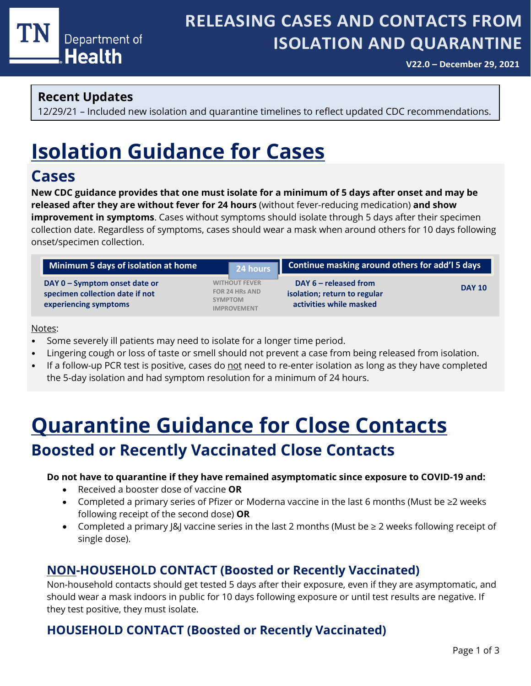

# **RELEASING CASES AND CONTACTS FROM ISOLATION AND QUARANTINE**

**V22.0 – December 29, 2021**

### **Recent Updates**

12/29/21 – Included new isolation and quarantine timelines to reflect updated CDC recommendations.

# **Isolation Guidance for Cases**

## **Cases**

**New CDC guidance provides that one must isolate for a minimum of 5 days after onset and may be released after they are without fever for 24 hours** (without fever-reducing medication) **and show improvement in symptoms**. Cases without symptoms should isolate through 5 days after their specimen collection date. Regardless of symptoms, cases should wear a mask when around others for 10 days following onset/specimen collection.

| Minimum 5 days of isolation at home                                                       | 24 hours                                                                              | Continue masking around others for add'l 5 days                                    |               |  |
|-------------------------------------------------------------------------------------------|---------------------------------------------------------------------------------------|------------------------------------------------------------------------------------|---------------|--|
| DAY 0 - Symptom onset date or<br>specimen collection date if not<br>experiencing symptoms | <b>WITHOUT FEVER</b><br><b>FOR 24 HRs AND</b><br><b>SYMPTOM</b><br><b>IMPROVEMENT</b> | DAY $6$ – released from<br>isolation; return to regular<br>activities while masked | <b>DAY 10</b> |  |

#### Notes:

- Some severely ill patients may need to isolate for a longer time period.
- Lingering cough or loss of taste or smell should not prevent a case from being released from isolation.
- If a follow-up PCR test is positive, cases do not need to re-enter isolation as long as they have completed the 5-day isolation and had symptom resolution for a minimum of 24 hours.

# **Quarantine Guidance for Close Contacts Boosted or Recently Vaccinated Close Contacts**

#### **Do not have to quarantine if they have remained asymptomatic since exposure to COVID-19 and:**

- Received a booster dose of vaccine **OR**
- Completed a primary series of Pfizer or Moderna vaccine in the last 6 months (Must be ≥2 weeks following receipt of the second dose) **OR**
- Completed a primary J&J vaccine series in the last 2 months (Must be ≥ 2 weeks following receipt of single dose).

## **NON-HOUSEHOLD CONTACT (Boosted or Recently Vaccinated)**

Non-household contacts should get tested 5 days after their exposure, even if they are asymptomatic, and should wear a mask indoors in public for 10 days following exposure or until test results are negative. If they test positive, they must isolate.

## **HOUSEHOLD CONTACT (Boosted or Recently Vaccinated)**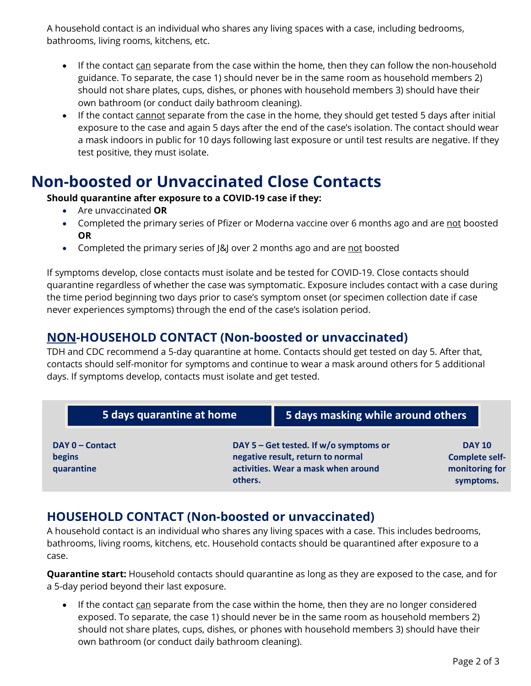A household contact is an individual who shares any living spaces with a case, including bedrooms, bathrooms, living rooms, kitchens, etc.

- If the contact can separate from the case within the home, then they can follow the non-household guidance. To separate, the case 1) should never be in the same room as household members 2) should not share plates, cups, dishes, or phones with household members 3) should have their own bathroom (or conduct daily bathroom cleaning).
- If the contact cannot separate from the case in the home, they should get tested 5 days after initial exposure to the case and again 5 days after the end of the case's isolation. The contact should wear a mask indoors in public for 10 days following last exposure or until test results are negative. If they test positive, they must isolate.

# **Non-boosted or Unvaccinated Close Contacts**

#### **Should quarantine after exposure to a COVID-19 case if they:**

- Are unvaccinated **OR**
- Completed the primary series of Pfizer or Moderna vaccine over 6 months ago and are not boosted **OR**
- Completed the primary series of  $|&$ ] over 2 months ago and are not boosted

If symptoms develop, close contacts must isolate and be tested for COVID-19. Close contacts should quarantine regardless of whether the case was symptomatic. Exposure includes contact with a case during the time period beginning two days prior to case's symptom onset (or specimen collection date if case never experiences symptoms) through the end of the case's isolation period.

## **NON-HOUSEHOLD CONTACT (Non-boosted or unvaccinated)**

TDH and CDC recommend a 5-day quarantine at home. Contacts should get tested on day 5. After that, contacts should self-monitor for symptoms and continue to wear a mask around others for 5 additional days. If symptoms develop, contacts must isolate and get tested.

| 5 days quarantine at home |         | 5 days masking while around others                                            |                                        |  |
|---------------------------|---------|-------------------------------------------------------------------------------|----------------------------------------|--|
| DAY 0 – Contact<br>begins |         | DAY 5 – Get tested. If $w/o$ symptoms or<br>negative result, return to normal | <b>DAY 10</b><br><b>Complete self-</b> |  |
| quarantine                | others. | activities. Wear a mask when around                                           | monitoring for<br>symptoms.            |  |

#### **HOUSEHOLD CONTACT (Non-boosted or unvaccinated)**

A household contact is an individual who shares any living spaces with a case. This includes bedrooms, bathrooms, living rooms, kitchens, etc. Household contacts should be quarantined after exposure to a case.

**Quarantine start:** Household contacts should quarantine as long as they are exposed to the case, and for a 5-day period beyond their last exposure.

• If the contact can separate from the case within the home, then they are no longer considered exposed. To separate, the case 1) should never be in the same room as household members 2) should not share plates, cups, dishes, or phones with household members 3) should have their own bathroom (or conduct daily bathroom cleaning).